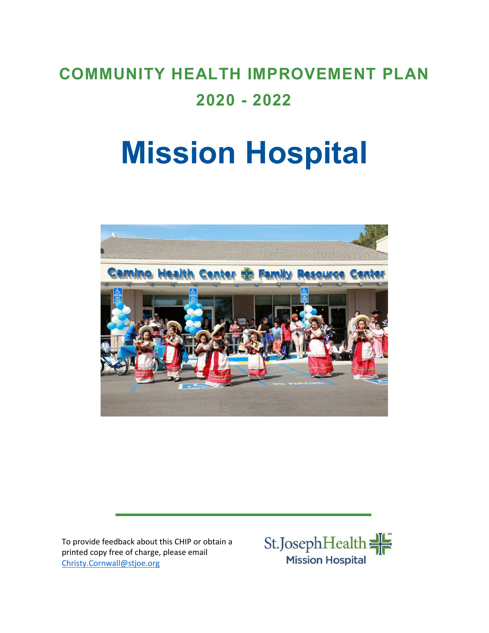## **COMMUNITY HEALTH IMPROVEMENT PLAN 2020 - 2022**

# **Mission Hospital**



To provide feedback about this CHIP or obtain a printed copy free of charge, please email [Christy.Cornwall@stjoe.org](mailto:Christy.Cornwall@stjoe.org)

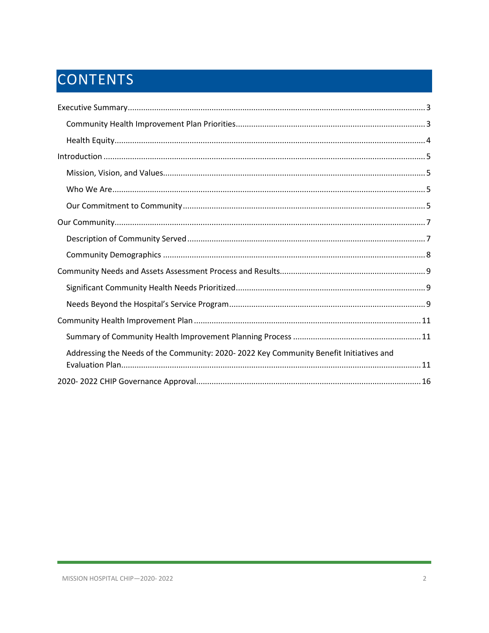## CONTENTS

| Addressing the Needs of the Community: 2020-2022 Key Community Benefit Initiatives and |
|----------------------------------------------------------------------------------------|
|                                                                                        |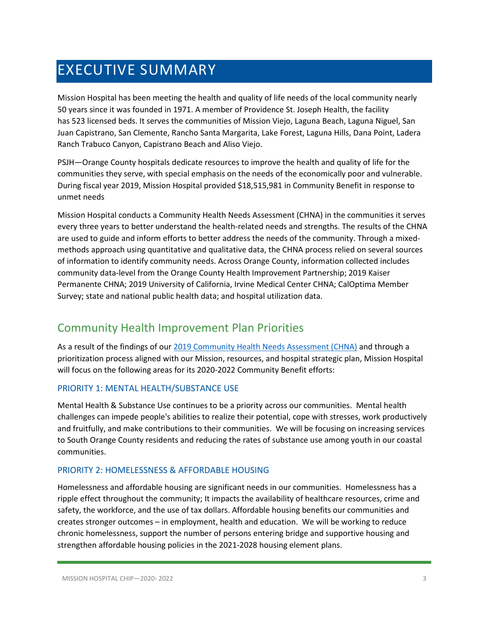## <span id="page-2-0"></span>EXECUTIVE SUMMARY

Mission Hospital has been meeting the health and quality of life needs of the local community nearly 50 years since it was founded in 1971. A member of Providence St. Joseph Health, the facility has 523 licensed beds. It serves the communities of Mission Viejo, Laguna Beach, Laguna Niguel, San Juan Capistrano, San Clemente, Rancho Santa Margarita, Lake Forest, Laguna Hills, Dana Point, Ladera Ranch Trabuco Canyon, Capistrano Beach and Aliso Viejo.

PSJH—Orange County hospitals dedicate resources to improve the health and quality of life for the communities they serve, with special emphasis on the needs of the economically poor and vulnerable. During fiscal year 2019, Mission Hospital provided \$18,515,981 in Community Benefit in response to unmet needs

Mission Hospital conducts a Community Health Needs Assessment (CHNA) in the communities it serves every three years to better understand the health-related needs and strengths. The results of the CHNA are used to guide and inform efforts to better address the needs of the community. Through a mixedmethods approach using quantitative and qualitative data, the CHNA process relied on several sources of information to identify community needs. Across Orange County, information collected includes community data-level from the Orange County Health Improvement Partnership; 2019 Kaiser Permanente CHNA; 2019 University of California, Irvine Medical Center CHNA; CalOptima Member Survey; state and national public health data; and hospital utilization data.

## <span id="page-2-1"></span>Community Health Improvement Plan Priorities

As a result of the findings of our [2019 Community Health Needs Assessment \(CHNA\)](https://www.providence.org/-/media/Project/psjh/providence/socal/Files/about/community-benefit/reports/2019chna-orangecounty.pdf?la=en&hash=1EFA38ECAF5E0C2A9CFBA76694525C43) and through a prioritization process aligned with our Mission, resources, and hospital strategic plan, Mission Hospital will focus on the following areas for its 2020-2022 Community Benefit efforts:

## PRIORITY 1: MENTAL HEALTH/SUBSTANCE USE

Mental Health & Substance Use continues to be a priority across our communities. Mental health challenges can impede people's abilities to realize their potential, cope with stresses, work productively and fruitfully, and make contributions to their communities. We will be focusing on increasing services to South Orange County residents and reducing the rates of substance use among youth in our coastal communities.

## PRIORITY 2: HOMELESSNESS & AFFORDABLE HOUSING

Homelessness and affordable housing are significant needs in our communities. Homelessness has a ripple effect throughout the community; It impacts the availability of healthcare resources, crime and safety, the workforce, and the use of tax dollars. Affordable housing benefits our communities and creates stronger outcomes – in employment, health and education. We will be working to reduce chronic homelessness, support the number of persons entering bridge and supportive housing and strengthen affordable housing policies in the 2021-2028 housing element plans.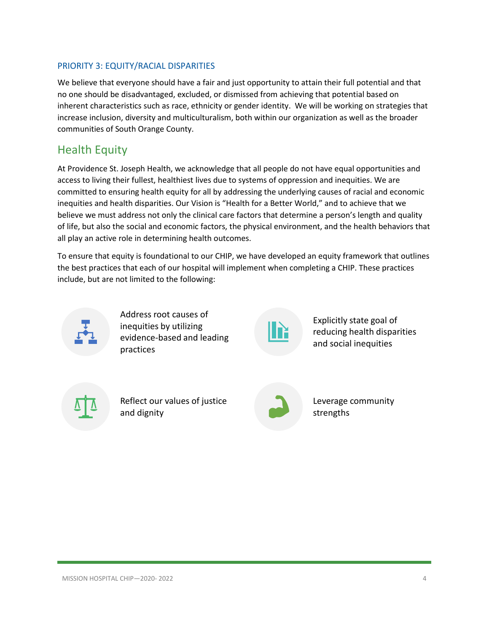## PRIORITY 3: EQUITY/RACIAL DISPARITIES

We believe that everyone should have a fair and just opportunity to attain their full potential and that no one should be disadvantaged, excluded, or dismissed from achieving that potential based on inherent characteristics such as race, ethnicity or gender identity. We will be working on strategies that increase inclusion, diversity and multiculturalism, both within our organization as well as the broader communities of South Orange County.

## <span id="page-3-0"></span>Health Equity

At Providence St. Joseph Health, we acknowledge that all people do not have equal opportunities and access to living their fullest, healthiest lives due to systems of oppression and inequities. We are committed to ensuring health equity for all by addressing the underlying causes of racial and economic inequities and health disparities. Our Vision is "Health for a Better World," and to achieve that we believe we must address not only the clinical care factors that determine a person's length and quality of life, but also the social and economic factors, the physical environment, and the health behaviors that all play an active role in determining health outcomes.

To ensure that equity is foundational to our CHIP, we have developed an equity framework that outlines the best practices that each of our hospital will implement when completing a CHIP. These practices include, but are not limited to the following:



Address root causes of inequities by utilizing evidence-based and leading practices



Explicitly state goal of reducing health disparities and social inequities

Reflect our values of justice and dignity



Leverage community strengths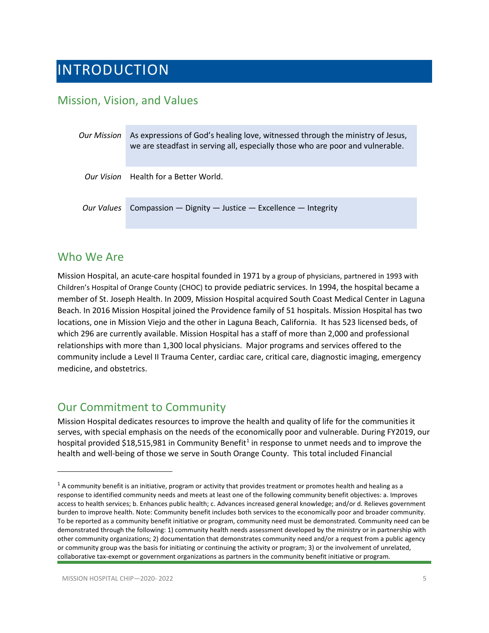## <span id="page-4-0"></span>INTRODUCTION

## <span id="page-4-1"></span>Mission, Vision, and Values

| Our Mission | As expressions of God's healing love, witnessed through the ministry of Jesus,<br>we are steadfast in serving all, especially those who are poor and vulnerable. |
|-------------|------------------------------------------------------------------------------------------------------------------------------------------------------------------|
|             | <i>Our Vision</i> Health for a Better World.                                                                                                                     |
|             | Our Values Compassion - Dignity - Justice - Excellence - Integrity                                                                                               |

## <span id="page-4-2"></span>Who We Are

Mission Hospital, an acute-care hospital founded in 1971 by a group of physicians, partnered in 1993 with Children's Hospital of Orange County (CHOC) to provide pediatric services. In 1994, the hospital became a member of St. Joseph Health. In 2009, Mission Hospital acquired South Coast Medical Center in Laguna Beach. In 2016 Mission Hospital joined the Providence family of 51 hospitals. Mission Hospital has two locations, one in Mission Viejo and the other in Laguna Beach, California. It has 523 licensed beds, of which 296 are currently available. Mission Hospital has a staff of more than 2,000 and professional relationships with more than 1,300 local physicians. Major programs and services offered to the community include a Level II Trauma Center, cardiac care, critical care, diagnostic imaging, emergency medicine, and obstetrics.

## <span id="page-4-3"></span>Our Commitment to Community

Mission Hospital dedicates resources to improve the health and quality of life for the communities it serves, with special emphasis on the needs of the economically poor and vulnerable. During FY2019, our hospital provided \$[1](#page-4-4)8,515,981 in Community Benefit<sup>1</sup> in response to unmet needs and to improve the health and well-being of those we serve in South Orange County. This total included Financial

<span id="page-4-4"></span> $1$  A community benefit is an initiative, program or activity that provides treatment or promotes health and healing as a response to identified community needs and meets at least one of the following community benefit objectives: a. Improves access to health services; b. Enhances public health; c. Advances increased general knowledge; and/or d. Relieves government burden to improve health. Note: Community benefit includes both services to the economically poor and broader community. To be reported as a community benefit initiative or program, community need must be demonstrated. Community need can be demonstrated through the following: 1) community health needs assessment developed by the ministry or in partnership with other community organizations; 2) documentation that demonstrates community need and/or a request from a public agency or community group was the basis for initiating or continuing the activity or program; 3) or the involvement of unrelated, collaborative tax-exempt or government organizations as partners in the community benefit initiative or program.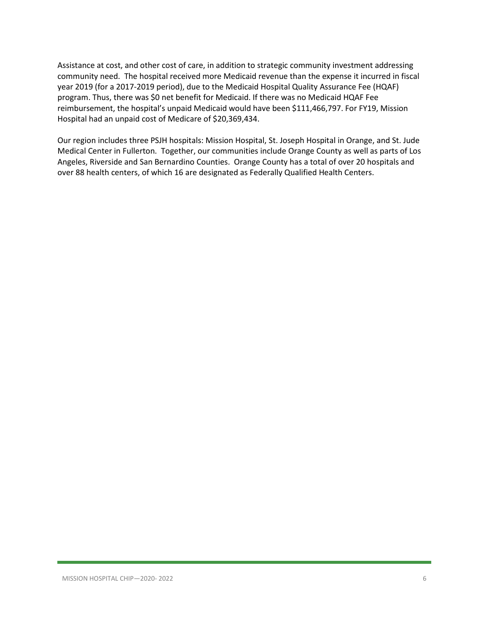Assistance at cost, and other cost of care, in addition to strategic community investment addressing community need. The hospital received more Medicaid revenue than the expense it incurred in fiscal year 2019 (for a 2017-2019 period), due to the Medicaid Hospital Quality Assurance Fee (HQAF) program. Thus, there was \$0 net benefit for Medicaid. If there was no Medicaid HQAF Fee reimbursement, the hospital's unpaid Medicaid would have been \$111,466,797. For FY19, Mission Hospital had an unpaid cost of Medicare of \$20,369,434.

Our region includes three PSJH hospitals: Mission Hospital, St. Joseph Hospital in Orange, and St. Jude Medical Center in Fullerton. Together, our communities include Orange County as well as parts of Los Angeles, Riverside and San Bernardino Counties. Orange County has a total of over 20 hospitals and over 88 health centers, of which 16 are designated as Federally Qualified Health Centers.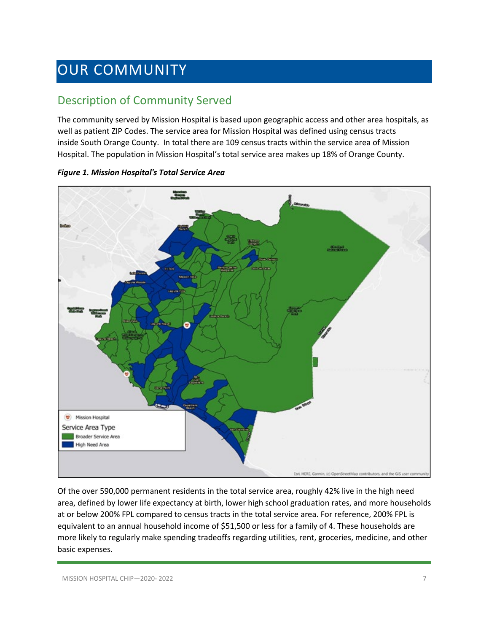## <span id="page-6-0"></span>OUR COMMUNITY

## <span id="page-6-1"></span>Description of Community Served

The community served by Mission Hospital is based upon geographic access and other area hospitals, as well as patient ZIP Codes. The service area for Mission Hospital was defined using census tracts inside South Orange County. In total there are 109 census tracts within the service area of Mission Hospital. The population in Mission Hospital's total service area makes up 18% of Orange County.



*Figure 1. Mission Hospital's Total Service Area*

Of the over 590,000 permanent residents in the total service area, roughly 42% live in the high need area, defined by lower life expectancy at birth, lower high school graduation rates, and more households at or below 200% FPL compared to census tracts in the total service area. For reference, 200% FPL is equivalent to an annual household income of \$51,500 or less for a family of 4. These households are more likely to regularly make spending tradeoffs regarding utilities, rent, groceries, medicine, and other basic expenses.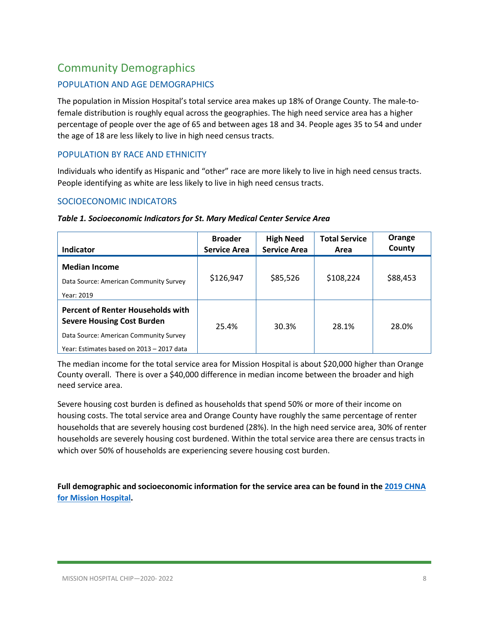## <span id="page-7-0"></span>Community Demographics

## POPULATION AND AGE DEMOGRAPHICS

The population in Mission Hospital's total service area makes up 18% of Orange County. The male-tofemale distribution is roughly equal across the geographies. The high need service area has a higher percentage of people over the age of 65 and between ages 18 and 34. People ages 35 to 54 and under the age of 18 are less likely to live in high need census tracts.

## POPULATION BY RACE AND ETHNICITY

Individuals who identify as Hispanic and "other" race are more likely to live in high need census tracts. People identifying as white are less likely to live in high need census tracts.

## SOCIOECONOMIC INDICATORS

| Indicator                                                                                                                                                            | <b>Broader</b><br><b>Service Area</b> | <b>High Need</b><br><b>Service Area</b> | <b>Total Service</b><br>Area | Orange<br>County |
|----------------------------------------------------------------------------------------------------------------------------------------------------------------------|---------------------------------------|-----------------------------------------|------------------------------|------------------|
| <b>Median Income</b><br>Data Source: American Community Survey<br>Year: 2019                                                                                         | \$126,947                             | \$85,526                                | \$108,224                    | \$88,453         |
| <b>Percent of Renter Households with</b><br><b>Severe Housing Cost Burden</b><br>Data Source: American Community Survey<br>Year: Estimates based on 2013 - 2017 data | 25.4%                                 | 30.3%                                   | 28.1%                        | 28.0%            |

#### *Table 1. Socioeconomic Indicators for St. Mary Medical Center Service Area*

The median income for the total service area for Mission Hospital is about \$20,000 higher than Orange County overall. There is over a \$40,000 difference in median income between the broader and high need service area.

Severe housing cost burden is defined as households that spend 50% or more of their income on housing costs. The total service area and Orange County have roughly the same percentage of renter households that are severely housing cost burdened (28%). In the high need service area, 30% of renter households are severely housing cost burdened. Within the total service area there are census tracts in which over 50% of households are experiencing severe housing cost burden.

**Full demographic and socioeconomic information for the service area can be found in the [2019 CHNA](https://www.providence.org/-/media/Project/psjh/providence/socal/Files/about/community-benefit/reports/2019chna-orangecounty.pdf?la=en&hash=1EFA38ECAF5E0C2A9CFBA76694525C43)  [for Mission Hospital.](https://www.providence.org/-/media/Project/psjh/providence/socal/Files/about/community-benefit/reports/2019chna-orangecounty.pdf?la=en&hash=1EFA38ECAF5E0C2A9CFBA76694525C43)**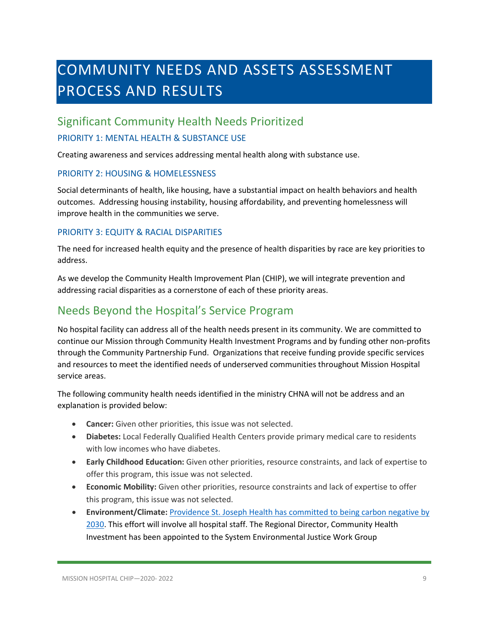## <span id="page-8-0"></span>COMMUNITY NEEDS AND ASSETS ASSESSMENT PROCESS AND RESULTS

## <span id="page-8-1"></span>Significant Community Health Needs Prioritized

## PRIORITY 1: MENTAL HEALTH & SUBSTANCE USE

Creating awareness and services addressing mental health along with substance use.

### PRIORITY 2: HOUSING & HOMELESSNESS

Social determinants of health, like housing, have a substantial impact on health behaviors and health outcomes. Addressing housing instability, housing affordability, and preventing homelessness will improve health in the communities we serve.

## PRIORITY 3: EQUITY & RACIAL DISPARITIES

The need for increased health equity and the presence of health disparities by race are key priorities to address.

As we develop the Community Health Improvement Plan (CHIP), we will integrate prevention and addressing racial disparities as a cornerstone of each of these priority areas.

## <span id="page-8-2"></span>Needs Beyond the Hospital's Service Program

No hospital facility can address all of the health needs present in its community. We are committed to continue our Mission through Community Health Investment Programs and by funding other non-profits through the Community Partnership Fund. Organizations that receive funding provide specific services and resources to meet the identified needs of underserved communities throughout Mission Hospital service areas.

The following community health needs identified in the ministry CHNA will not be address and an explanation is provided below:

- **Cancer:** Given other priorities, this issue was not selected.
- **Diabetes:** Local Federally Qualified Health Centers provide primary medical care to residents with low incomes who have diabetes.
- **Early Childhood Education:** Given other priorities, resource constraints, and lack of expertise to offer this program, this issue was not selected.
- **Economic Mobility:** Given other priorities, resource constraints and lack of expertise to offer this program, this issue was not selected.
- **Environment/Climate:** [Providence St. Joseph Health has committed to being carbon negative](https://www.providence.org/about/community-partnerships/work-we-do/government-affairs-and-social-responsibility/environmental-stewardship/our-commitment-to-environmental-transformation) by [2030.](https://www.providence.org/about/community-partnerships/work-we-do/government-affairs-and-social-responsibility/environmental-stewardship/our-commitment-to-environmental-transformation) This effort will involve all hospital staff. The Regional Director, Community Health Investment has been appointed to the System Environmental Justice Work Group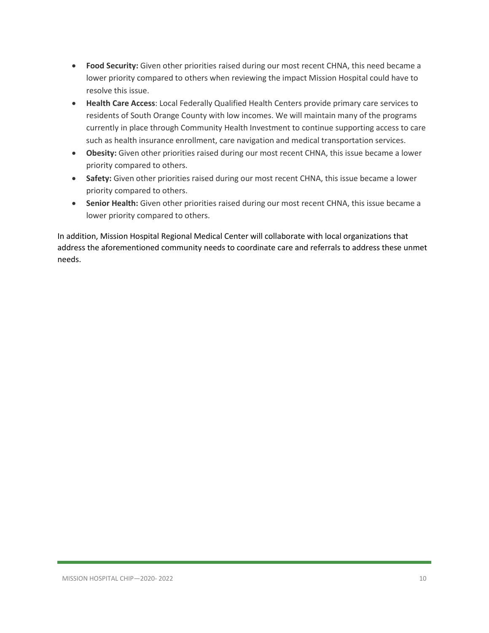- **Food Security:** Given other priorities raised during our most recent CHNA, this need became a lower priority compared to others when reviewing the impact Mission Hospital could have to resolve this issue.
- **Health Care Access**: Local Federally Qualified Health Centers provide primary care services to residents of South Orange County with low incomes. We will maintain many of the programs currently in place through Community Health Investment to continue supporting access to care such as health insurance enrollment, care navigation and medical transportation services.
- **Obesity:** Given other priorities raised during our most recent CHNA, this issue became a lower priority compared to others.
- **Safety:** Given other priorities raised during our most recent CHNA, this issue became a lower priority compared to others.
- **Senior Health:** Given other priorities raised during our most recent CHNA, this issue became a lower priority compared to others.

In addition, Mission Hospital Regional Medical Center will collaborate with local organizations that address the aforementioned community needs to coordinate care and referrals to address these unmet needs.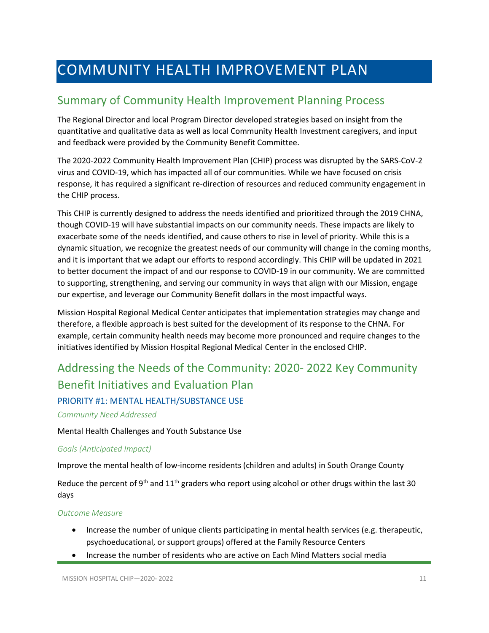## <span id="page-10-0"></span>COMMUNITY HEALTH IMPROVEMENT PLAN

## <span id="page-10-1"></span>Summary of Community Health Improvement Planning Process

The Regional Director and local Program Director developed strategies based on insight from the quantitative and qualitative data as well as local Community Health Investment caregivers, and input and feedback were provided by the Community Benefit Committee.

The 2020-2022 Community Health Improvement Plan (CHIP) process was disrupted by the SARS-CoV-2 virus and COVID-19, which has impacted all of our communities. While we have focused on crisis response, it has required a significant re-direction of resources and reduced community engagement in the CHIP process.

This CHIP is currently designed to address the needs identified and prioritized through the 2019 CHNA, though COVID-19 will have substantial impacts on our community needs. These impacts are likely to exacerbate some of the needs identified, and cause others to rise in level of priority. While this is a dynamic situation, we recognize the greatest needs of our community will change in the coming months, and it is important that we adapt our efforts to respond accordingly. This CHIP will be updated in 2021 to better document the impact of and our response to COVID-19 in our community. We are committed to supporting, strengthening, and serving our community in ways that align with our Mission, engage our expertise, and leverage our Community Benefit dollars in the most impactful ways.

Mission Hospital Regional Medical Center anticipates that implementation strategies may change and therefore, a flexible approach is best suited for the development of its response to the CHNA. For example, certain community health needs may become more pronounced and require changes to the initiatives identified by Mission Hospital Regional Medical Center in the enclosed CHIP.

## <span id="page-10-2"></span>Addressing the Needs of the Community: 2020- 2022 Key Community Benefit Initiatives and Evaluation Plan

## PRIORITY #1: MENTAL HEALTH/SUBSTANCE USE

*Community Need Addressed*

Mental Health Challenges and Youth Substance Use

### *Goals (Anticipated Impact)*

Improve the mental health of low-income residents (children and adults) in South Orange County

Reduce the percent of 9<sup>th</sup> and 11<sup>th</sup> graders who report using alcohol or other drugs within the last 30 days

#### *Outcome Measure*

- Increase the number of unique clients participating in mental health services (e.g. therapeutic, psychoeducational, or support groups) offered at the Family Resource Centers
- Increase the number of residents who are active on Each Mind Matters social media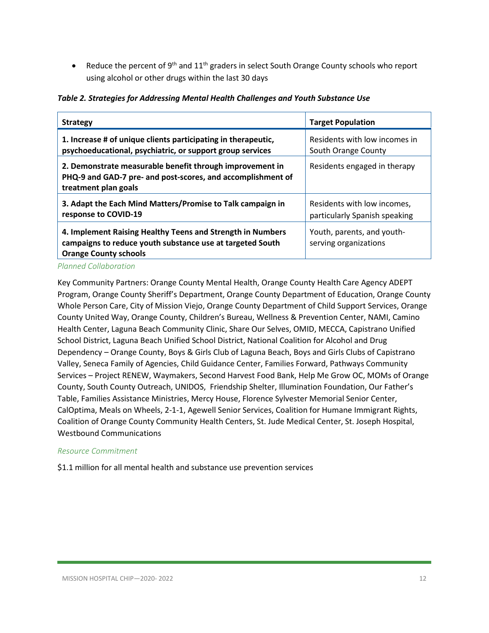• Reduce the percent of 9<sup>th</sup> and  $11<sup>th</sup>$  graders in select South Orange County schools who report using alcohol or other drugs within the last 30 days

*Table 2. Strategies for Addressing Mental Health Challenges and Youth Substance Use*

| <b>Strategy</b>                                                                                                                                         | <b>Target Population</b>                                     |  |
|---------------------------------------------------------------------------------------------------------------------------------------------------------|--------------------------------------------------------------|--|
| 1. Increase # of unique clients participating in therapeutic,<br>psychoeducational, psychiatric, or support group services                              | Residents with low incomes in<br>South Orange County         |  |
| 2. Demonstrate measurable benefit through improvement in<br>PHQ-9 and GAD-7 pre- and post-scores, and accomplishment of<br>treatment plan goals         | Residents engaged in therapy                                 |  |
| 3. Adapt the Each Mind Matters/Promise to Talk campaign in<br>response to COVID-19                                                                      | Residents with low incomes,<br>particularly Spanish speaking |  |
| 4. Implement Raising Healthy Teens and Strength in Numbers<br>campaigns to reduce youth substance use at targeted South<br><b>Orange County schools</b> | Youth, parents, and youth-<br>serving organizations          |  |

*Planned Collaboration*

Key Community Partners: Orange County Mental Health, Orange County Health Care Agency ADEPT Program, Orange County Sheriff's Department, Orange County Department of Education, Orange County Whole Person Care, City of Mission Viejo, Orange County Department of Child Support Services, Orange County United Way, Orange County, Children's Bureau, Wellness & Prevention Center, NAMI, Camino Health Center, Laguna Beach Community Clinic, Share Our Selves, OMID, MECCA, Capistrano Unified School District, Laguna Beach Unified School District, National Coalition for Alcohol and Drug Dependency – Orange County, Boys & Girls Club of Laguna Beach, Boys and Girls Clubs of Capistrano Valley, Seneca Family of Agencies, Child Guidance Center, Families Forward, Pathways Community Services – Project RENEW, Waymakers, Second Harvest Food Bank, Help Me Grow OC, MOMs of Orange County, South County Outreach, UNIDOS, Friendship Shelter, Illumination Foundation, Our Father's Table, Families Assistance Ministries, Mercy House, Florence Sylvester Memorial Senior Center, CalOptima, Meals on Wheels, 2-1-1, Agewell Senior Services, Coalition for Humane Immigrant Rights, Coalition of Orange County Community Health Centers, St. Jude Medical Center, St. Joseph Hospital, Westbound Communications

### *Resource Commitment*

\$1.1 million for all mental health and substance use prevention services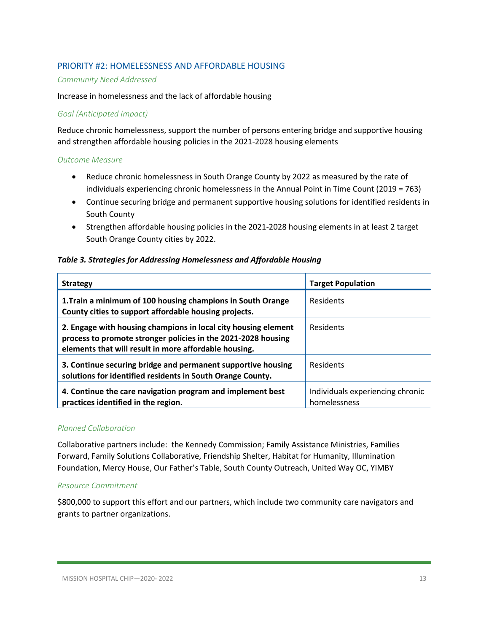## PRIORITY #2: HOMELESSNESS AND AFFORDABLE HOUSING

#### *Community Need Addressed*

#### Increase in homelessness and the lack of affordable housing

#### *Goal (Anticipated Impact)*

Reduce chronic homelessness, support the number of persons entering bridge and supportive housing and strengthen affordable housing policies in the 2021-2028 housing elements

#### *Outcome Measure*

- Reduce chronic homelessness in South Orange County by 2022 as measured by the rate of individuals experiencing chronic homelessness in the Annual Point in Time Count (2019 = 763)
- Continue securing bridge and permanent supportive housing solutions for identified residents in South County
- Strengthen affordable housing policies in the 2021-2028 housing elements in at least 2 target South Orange County cities by 2022.

#### *Table 3. Strategies for Addressing Homelessness and Affordable Housing*

| <b>Strategy</b>                                                                                                                                                                          | <b>Target Population</b>                         |
|------------------------------------------------------------------------------------------------------------------------------------------------------------------------------------------|--------------------------------------------------|
| 1. Train a minimum of 100 housing champions in South Orange<br>County cities to support affordable housing projects.                                                                     | Residents                                        |
| 2. Engage with housing champions in local city housing element<br>process to promote stronger policies in the 2021-2028 housing<br>elements that will result in more affordable housing. | Residents                                        |
| 3. Continue securing bridge and permanent supportive housing<br>solutions for identified residents in South Orange County.                                                               | <b>Residents</b>                                 |
| 4. Continue the care navigation program and implement best<br>practices identified in the region.                                                                                        | Individuals experiencing chronic<br>homelessness |

### *Planned Collaboration*

Collaborative partners include: the Kennedy Commission; Family Assistance Ministries, Families Forward, Family Solutions Collaborative, Friendship Shelter, Habitat for Humanity, Illumination Foundation, Mercy House, Our Father's Table, South County Outreach, United Way OC, YIMBY

### *Resource Commitment*

\$800,000 to support this effort and our partners, which include two community care navigators and grants to partner organizations.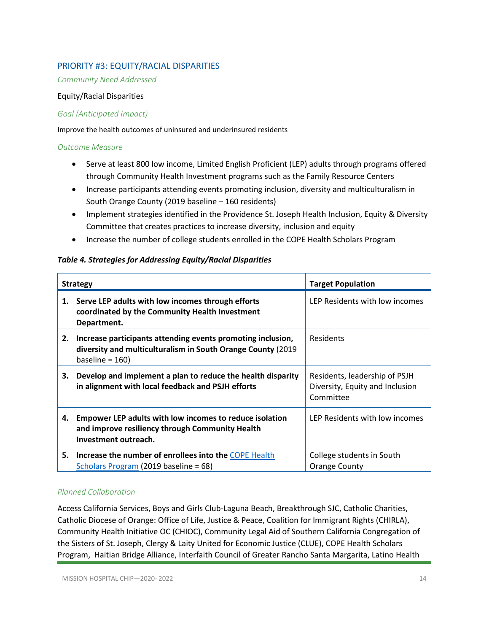## PRIORITY #3: EQUITY/RACIAL DISPARITIES

*Community Need Addressed*

#### Equity/Racial Disparities

#### *Goal (Anticipated Impact)*

Improve the health outcomes of uninsured and underinsured residents

#### *Outcome Measure*

- Serve at least 800 low income, Limited English Proficient (LEP) adults through programs offered through Community Health Investment programs such as the Family Resource Centers
- Increase participants attending events promoting inclusion, diversity and multiculturalism in South Orange County (2019 baseline – 160 residents)
- Implement strategies identified in the Providence St. Joseph Health Inclusion, Equity & Diversity Committee that creates practices to increase diversity, inclusion and equity
- Increase the number of college students enrolled in the COPE Health Scholars Program

### *Table 4. Strategies for Addressing Equity/Racial Disparities*

| <b>Strategy</b> |                                                                                                                                                   | <b>Target Population</b>                                                      |
|-----------------|---------------------------------------------------------------------------------------------------------------------------------------------------|-------------------------------------------------------------------------------|
|                 | 1. Serve LEP adults with low incomes through efforts<br>coordinated by the Community Health Investment<br>Department.                             | LEP Residents with low incomes                                                |
| 2.              | Increase participants attending events promoting inclusion,<br>diversity and multiculturalism in South Orange County (2019)<br>baseline = $160$ ) | <b>Residents</b>                                                              |
| 3.              | Develop and implement a plan to reduce the health disparity<br>in alignment with local feedback and PSJH efforts                                  | Residents, leadership of PSJH<br>Diversity, Equity and Inclusion<br>Committee |
| 4.              | Empower LEP adults with low incomes to reduce isolation<br>and improve resiliency through Community Health<br>Investment outreach.                | LEP Residents with low incomes                                                |
|                 | 5. Increase the number of enrollees into the COPE Health<br>Scholars Program (2019 baseline = 68)                                                 | College students in South<br><b>Orange County</b>                             |

### *Planned Collaboration*

Access California Services, Boys and Girls Club-Laguna Beach, Breakthrough SJC, Catholic Charities, Catholic Diocese of Orange: Office of Life, Justice & Peace, Coalition for Immigrant Rights (CHIRLA), Community Health Initiative OC (CHIOC), Community Legal Aid of Southern California Congregation of the Sisters of St. Joseph, Clergy & Laity United for Economic Justice (CLUE), COPE Health Scholars Program, Haitian Bridge Alliance, Interfaith Council of Greater Rancho Santa Margarita, Latino Health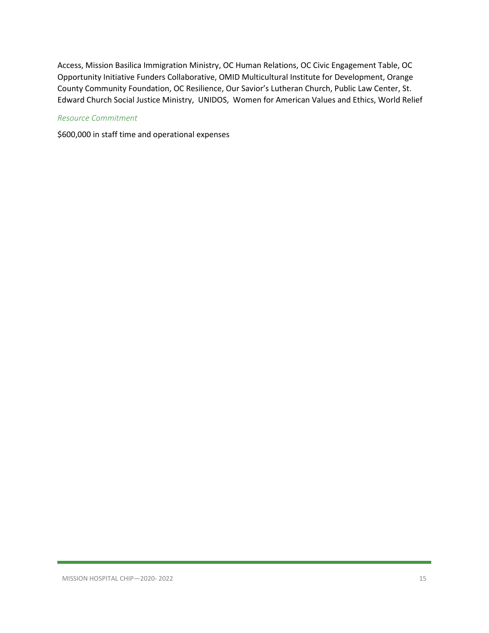Access, Mission Basilica Immigration Ministry, OC Human Relations, OC Civic Engagement Table, OC Opportunity Initiative Funders Collaborative, OMID Multicultural Institute for Development, Orange County Community Foundation, OC Resilience, Our Savior's Lutheran Church, Public Law Center, St. Edward Church Social Justice Ministry, UNIDOS, Women for American Values and Ethics, World Relief

### *Resource Commitment*

\$600,000 in staff time and operational expenses